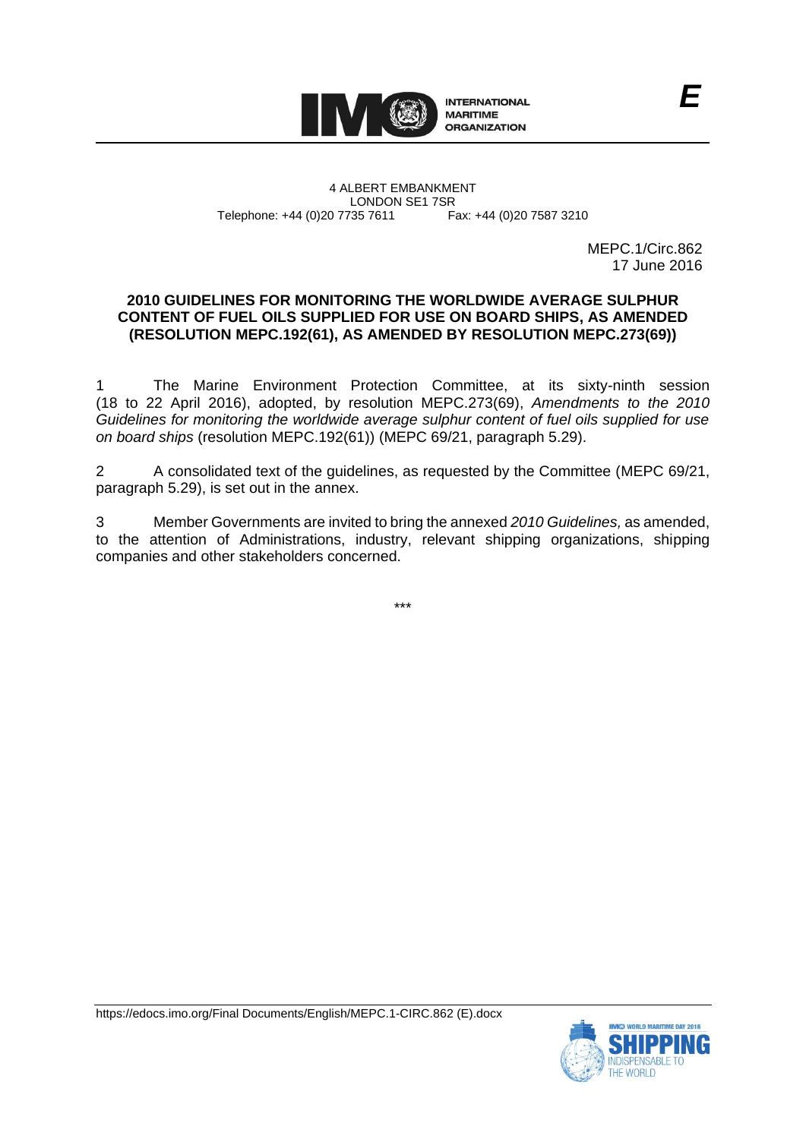

4 ALBERT EMBANKMENT Telephone: +44 (0)20 7735 7611

LONDON SE1 7SR<br>735 7611 Fax: +44 (0)20 7587 3210

MEPC.1/Circ.862 17 June 2016

# **2010 GUIDELINES FOR MONITORING THE WORLDWIDE AVERAGE SULPHUR CONTENT OF FUEL OILS SUPPLIED FOR USE ON BOARD SHIPS, AS AMENDED (RESOLUTION MEPC.192(61), AS AMENDED BY RESOLUTION MEPC.273(69))**

1 The Marine Environment Protection Committee, at its sixty-ninth session (18 to 22 April 2016), adopted, by resolution MEPC.273(69), *Amendments to the 2010 Guidelines for monitoring the worldwide average sulphur content of fuel oils supplied for use on board ships* (resolution MEPC.192(61)) (MEPC 69/21, paragraph 5.29).

2 A consolidated text of the guidelines, as requested by the Committee (MEPC 69/21, paragraph 5.29), is set out in the annex.

3 Member Governments are invited to bring the annexed *2010 Guidelines,* as amended, to the attention of Administrations, industry, relevant shipping organizations, shipping companies and other stakeholders concerned.

\*\*\*

https://edocs.imo.org/Final Documents/English/MEPC.1-CIRC.862 (E).docx

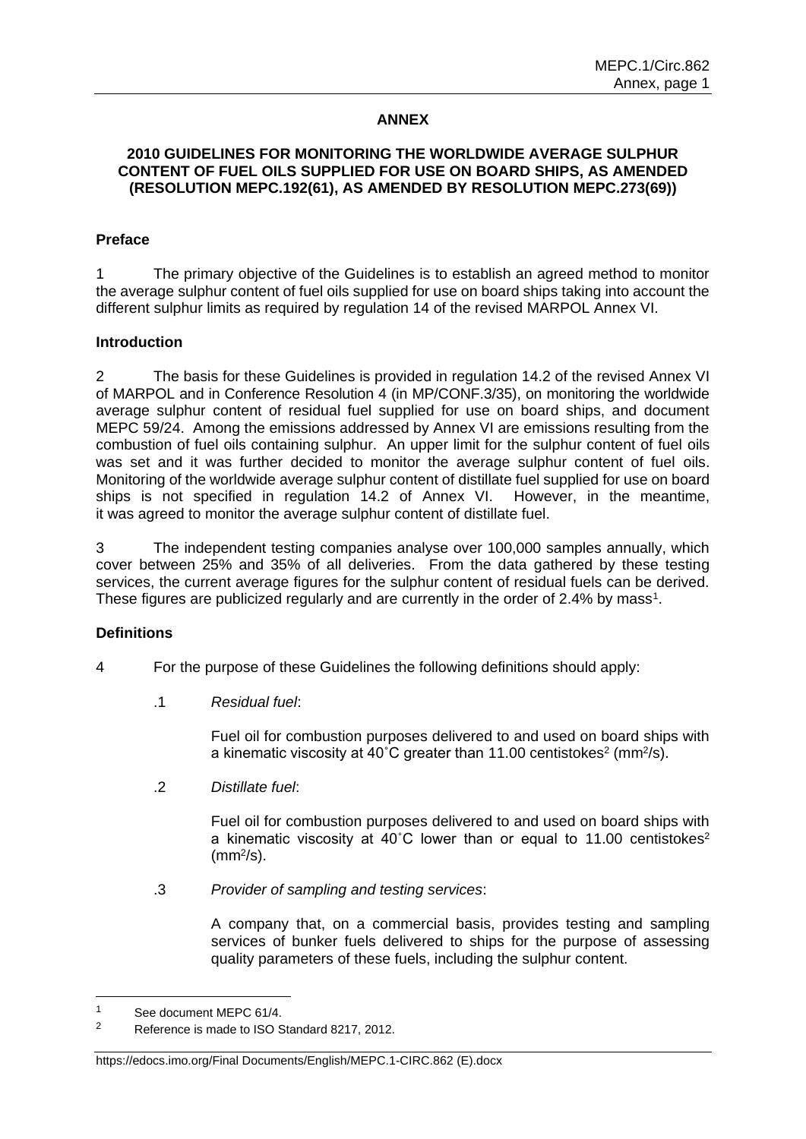# **ANNEX**

# **2010 GUIDELINES FOR MONITORING THE WORLDWIDE AVERAGE SULPHUR CONTENT OF FUEL OILS SUPPLIED FOR USE ON BOARD SHIPS, AS AMENDED (RESOLUTION MEPC.192(61), AS AMENDED BY RESOLUTION MEPC.273(69))**

#### **Preface**

1 The primary objective of the Guidelines is to establish an agreed method to monitor the average sulphur content of fuel oils supplied for use on board ships taking into account the different sulphur limits as required by regulation 14 of the revised MARPOL Annex VI.

#### **Introduction**

2 The basis for these Guidelines is provided in regulation 14.2 of the revised Annex VI of MARPOL and in Conference Resolution 4 (in MP/CONF.3/35), on monitoring the worldwide average sulphur content of residual fuel supplied for use on board ships, and document MEPC 59/24. Among the emissions addressed by Annex VI are emissions resulting from the combustion of fuel oils containing sulphur. An upper limit for the sulphur content of fuel oils was set and it was further decided to monitor the average sulphur content of fuel oils. Monitoring of the worldwide average sulphur content of distillate fuel supplied for use on board ships is not specified in regulation 14.2 of Annex VI. However, in the meantime, it was agreed to monitor the average sulphur content of distillate fuel.

3 The independent testing companies analyse over 100,000 samples annually, which cover between 25% and 35% of all deliveries. From the data gathered by these testing services, the current average figures for the sulphur content of residual fuels can be derived. These figures are publicized regularly and are currently in the order of 2.4% by mass<sup>1</sup>.

# **Definitions**

- 4 For the purpose of these Guidelines the following definitions should apply:
	- .1 *Residual fuel*:

Fuel oil for combustion purposes delivered to and used on board ships with a kinematic viscosity at 40°C greater than 11.00 centistokes<sup>2</sup> (mm<sup>2</sup>/s).

.2 *Distillate fuel*:

Fuel oil for combustion purposes delivered to and used on board ships with a kinematic viscosity at  $40^{\circ}$ C lower than or equal to 11.00 centistokes<sup>2</sup>  $\text{(mm}^2/\text{s})$ .

.3 *Provider of sampling and testing services*:

A company that, on a commercial basis, provides testing and sampling services of bunker fuels delivered to ships for the purpose of assessing quality parameters of these fuels, including the sulphur content.

-

#### https://edocs.imo.org/Final Documents/English/MEPC.1-CIRC.862 (E).docx

<sup>1</sup> See document MEPC 61/4.

<sup>&</sup>lt;sup>2</sup> Reference is made to ISO Standard 8217, 2012.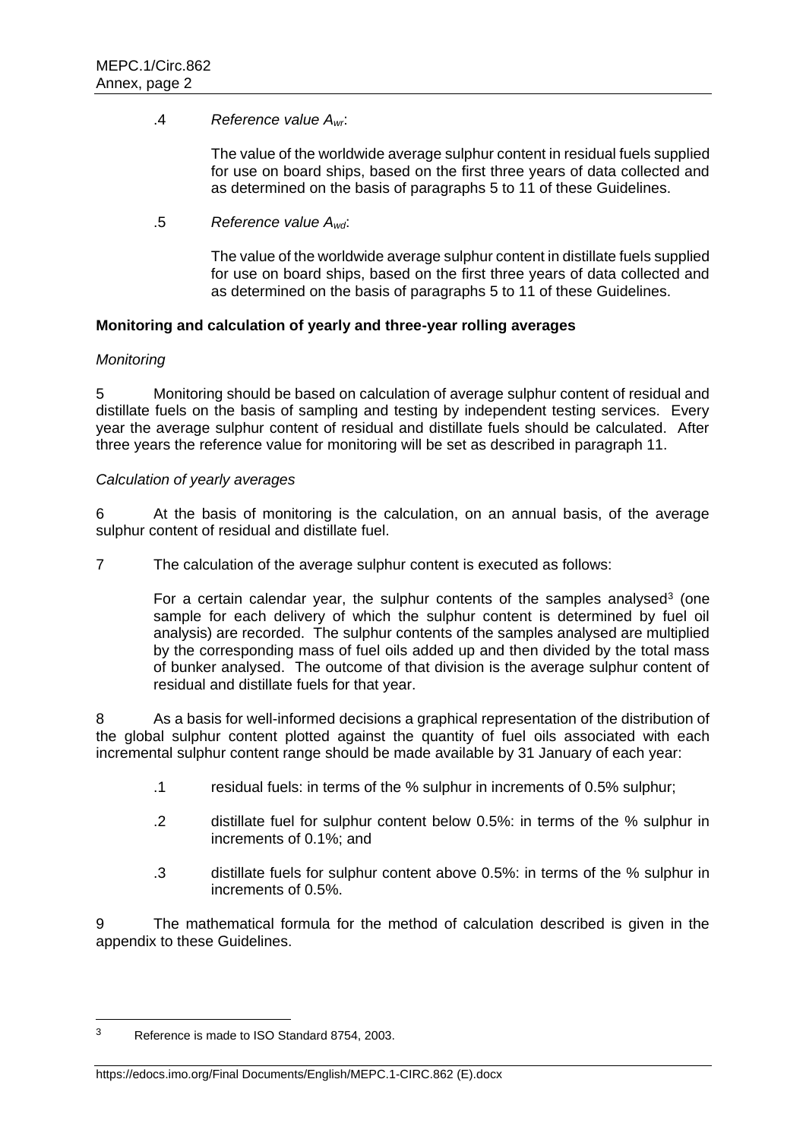# .4 *Reference value Awr*:

The value of the worldwide average sulphur content in residual fuels supplied for use on board ships, based on the first three years of data collected and as determined on the basis of paragraphs 5 to 11 of these Guidelines.

.5 *Reference value Awd*:

The value of the worldwide average sulphur content in distillate fuels supplied for use on board ships, based on the first three years of data collected and as determined on the basis of paragraphs 5 to 11 of these Guidelines.

# **Monitoring and calculation of yearly and three-year rolling averages**

# *Monitoring*

5 Monitoring should be based on calculation of average sulphur content of residual and distillate fuels on the basis of sampling and testing by independent testing services. Every year the average sulphur content of residual and distillate fuels should be calculated. After three years the reference value for monitoring will be set as described in paragraph 11.

# *Calculation of yearly averages*

6 At the basis of monitoring is the calculation, on an annual basis, of the average sulphur content of residual and distillate fuel.

7 The calculation of the average sulphur content is executed as follows:

For a certain calendar year, the sulphur contents of the samples analysed<sup>3</sup> (one sample for each delivery of which the sulphur content is determined by fuel oil analysis) are recorded. The sulphur contents of the samples analysed are multiplied by the corresponding mass of fuel oils added up and then divided by the total mass of bunker analysed. The outcome of that division is the average sulphur content of residual and distillate fuels for that year.

8 As a basis for well-informed decisions a graphical representation of the distribution of the global sulphur content plotted against the quantity of fuel oils associated with each incremental sulphur content range should be made available by 31 January of each year:

- .1 residual fuels: in terms of the % sulphur in increments of 0.5% sulphur;
- .2 distillate fuel for sulphur content below 0.5%: in terms of the % sulphur in increments of 0.1%; and
- .3 distillate fuels for sulphur content above 0.5%: in terms of the % sulphur in increments of 0.5%.

9 The mathematical formula for the method of calculation described is given in the appendix to these Guidelines.

-

#### https://edocs.imo.org/Final Documents/English/MEPC.1-CIRC.862 (E).docx

<sup>3</sup> Reference is made to ISO Standard 8754, 2003.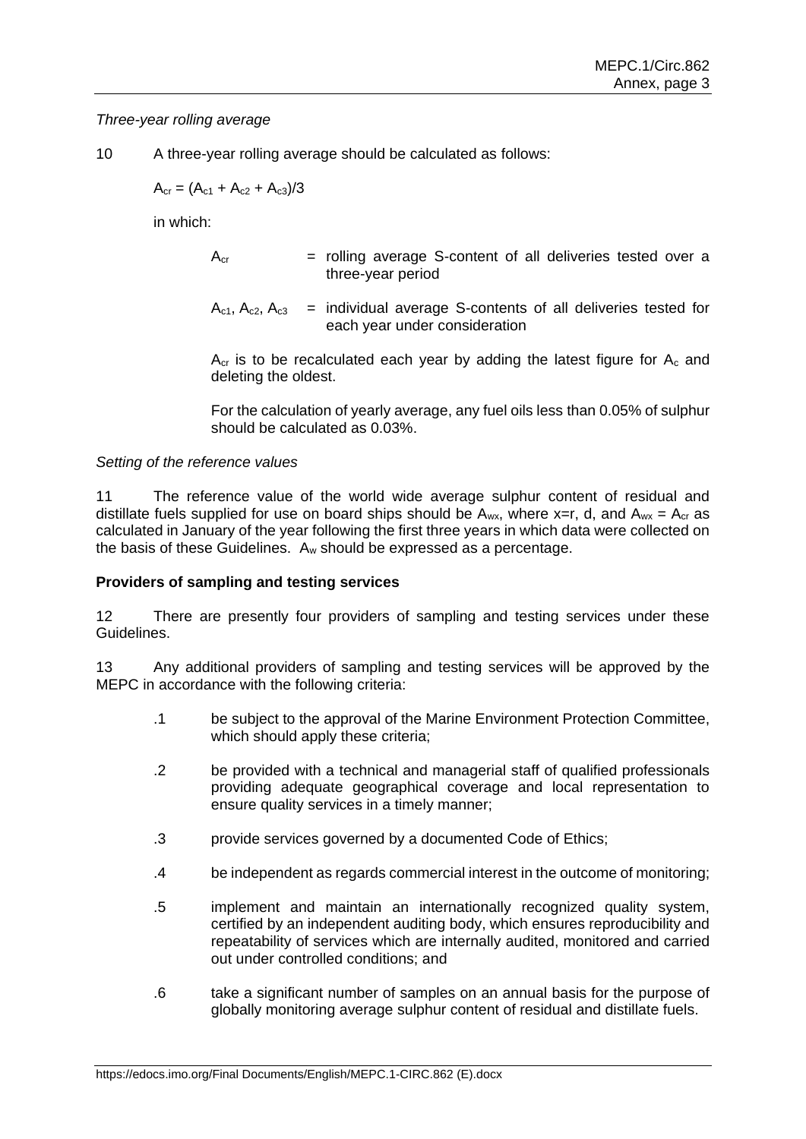## *Three-year rolling average*

10 A three-year rolling average should be calculated as follows:

 $A_{cr} = (A_{c1} + A_{c2} + A_{c3})/3$ 

in which:

- $A_{cr}$  = rolling average S-content of all deliveries tested over a three-year period
- $A_{c1}$ ,  $A_{c2}$ ,  $A_{c3}$  = individual average S-contents of all deliveries tested for each year under consideration

 $A_{cr}$  is to be recalculated each year by adding the latest figure for  $A_c$  and deleting the oldest.

For the calculation of yearly average, any fuel oils less than 0.05% of sulphur should be calculated as 0.03%.

#### *Setting of the reference values*

11 The reference value of the world wide average sulphur content of residual and distillate fuels supplied for use on board ships should be  $A_{wx}$ , where x=r, d, and  $A_{wx} = A_{cr}$  as calculated in January of the year following the first three years in which data were collected on the basis of these Guidelines. A<sup>w</sup> should be expressed as a percentage.

#### **Providers of sampling and testing services**

12 There are presently four providers of sampling and testing services under these Guidelines.

13 Any additional providers of sampling and testing services will be approved by the MEPC in accordance with the following criteria:

- .1 be subject to the approval of the Marine Environment Protection Committee, which should apply these criteria;
- .2 be provided with a technical and managerial staff of qualified professionals providing adequate geographical coverage and local representation to ensure quality services in a timely manner;
- .3 provide services governed by a documented Code of Ethics;
- .4 be independent as regards commercial interest in the outcome of monitoring;
- .5 implement and maintain an internationally recognized quality system, certified by an independent auditing body, which ensures reproducibility and repeatability of services which are internally audited, monitored and carried out under controlled conditions; and
- .6 take a significant number of samples on an annual basis for the purpose of globally monitoring average sulphur content of residual and distillate fuels.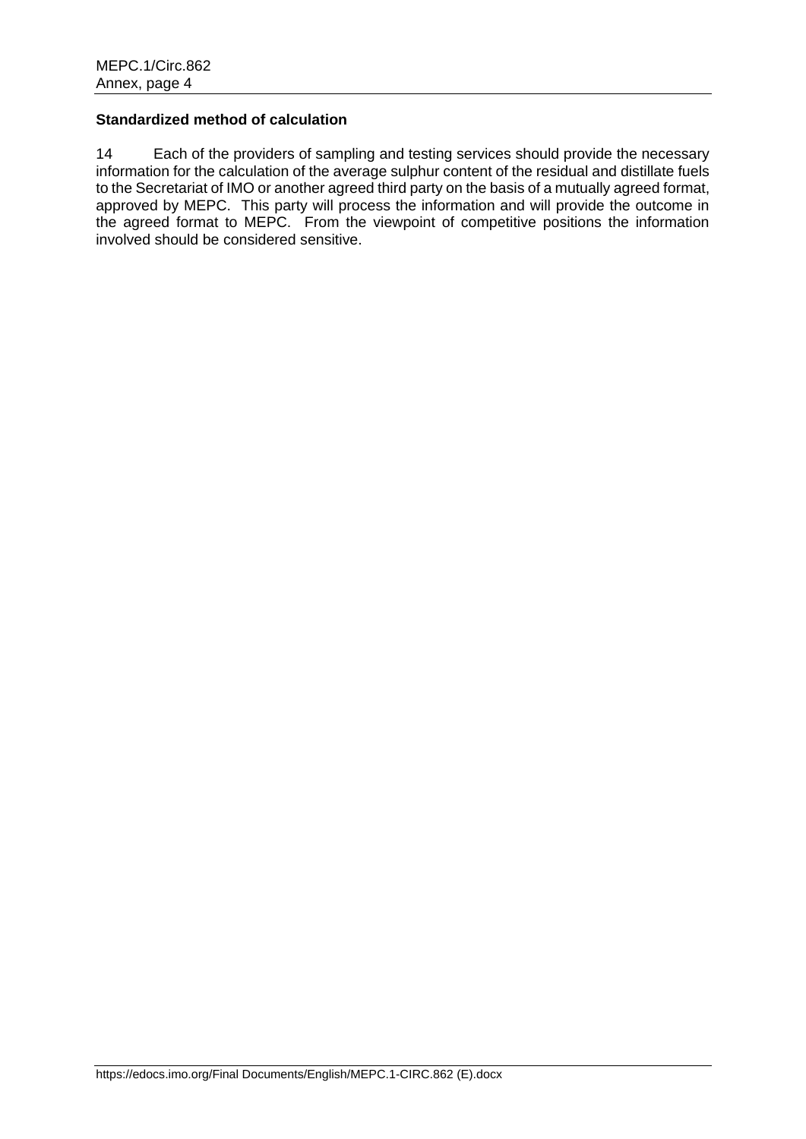# **Standardized method of calculation**

14 Each of the providers of sampling and testing services should provide the necessary information for the calculation of the average sulphur content of the residual and distillate fuels to the Secretariat of IMO or another agreed third party on the basis of a mutually agreed format, approved by MEPC. This party will process the information and will provide the outcome in the agreed format to MEPC. From the viewpoint of competitive positions the information involved should be considered sensitive.